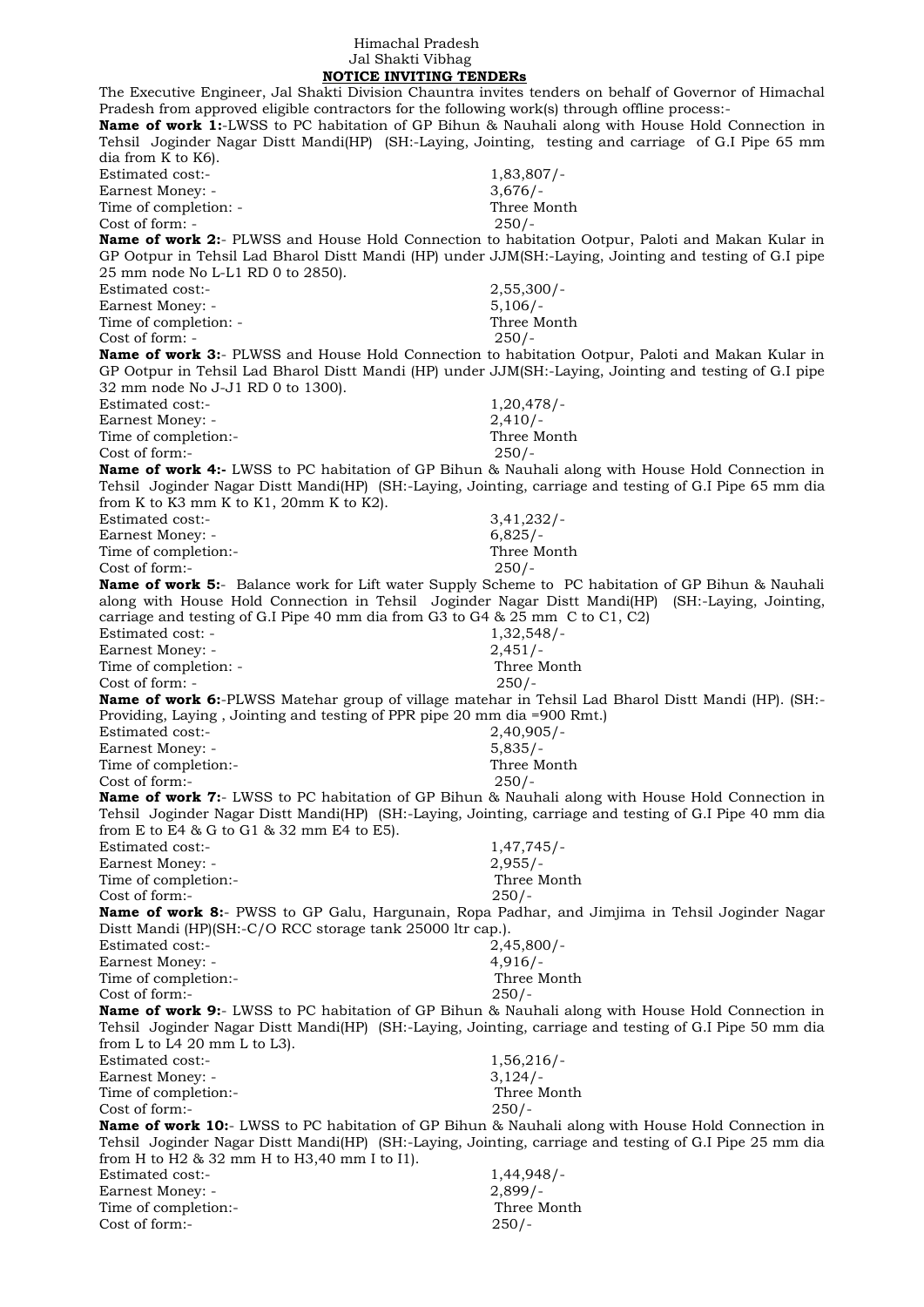## Himachal Pradesh Jal Shakti Vibhag

 **NOTICE INVITING TENDERs** The Executive Engineer, Jal Shakti Division Chauntra invites tenders on behalf of Governor of Himachal Pradesh from approved eligible contractors for the following work(s) through offline process:- **Name of work 1:**-LWSS to PC habitation of GP Bihun & Nauhali along with House Hold Connection in Tehsil Joginder Nagar Distt Mandi(HP) (SH:-Laying, Jointing, testing and carriage of G.I Pipe 65 mm dia from K to K6). Estimated cost:- 1,83,807/- Earnest Money: - 3,676/-Time of completion: - Three Month  $Cost of form: -250/$ **Name of work 2:**- PLWSS and House Hold Connection to habitation Ootpur, Paloti and Makan Kular in GP Ootpur in Tehsil Lad Bharol Distt Mandi (HP) under JJM(SH:-Laying, Jointing and testing of G.I pipe 25 mm node No L-L1 RD 0 to 2850). Estimated cost:- 2,55,300/- Earnest Money: - 5,106/-Time of completion:  $\overline{\phantom{a}}$  and  $\overline{\phantom{a}}$  and  $\overline{\phantom{a}}$  and  $\overline{\phantom{a}}$  and  $\overline{\phantom{a}}$  and  $\overline{\phantom{a}}$  and  $\overline{\phantom{a}}$  and  $\overline{\phantom{a}}$  and  $\overline{\phantom{a}}$  and  $\overline{\phantom{a}}$  and  $\overline{\phantom{a}}$  and  $\overline{\phantom{a}}$  and  $\overline{\phantom{a}}$ Cost of form: - 250/- **Name of work 3:**- PLWSS and House Hold Connection to habitation Ootpur, Paloti and Makan Kular in GP Ootpur in Tehsil Lad Bharol Distt Mandi (HP) under JJM(SH:-Laying, Jointing and testing of G.I pipe 32 mm node No J-J1 RD 0 to 1300). Estimated cost:- 1,20,478/- Earnest Money: - 2,410/-Time of completion:- Three Month Cost of form:- 250/- **Name of work 4:-** LWSS to PC habitation of GP Bihun & Nauhali along with House Hold Connection in Tehsil Joginder Nagar Distt Mandi(HP) (SH:-Laying, Jointing, carriage and testing of G.I Pipe 65 mm dia from K to K3 mm K to K1, 20mm K to K2). Estimated cost:- 3,41,232/- Earnest Money: - 6,825/-Time of completion:- Three Month Cost of form:- 250/- **Name of work 5:**- Balance work for Lift water Supply Scheme to PC habitation of GP Bihun & Nauhali along with House Hold Connection in Tehsil Joginder Nagar Distt Mandi(HP) (SH:-Laying, Jointing, carriage and testing of G.I Pipe 40 mm dia from G3 to G4 & 25 mm C to C1, C2) Estimated cost: - 1,32,548/-Earnest Money: - 2,451/-Time of completion: - Three Month Cost of form: - 250/- **Name of work 6:**-PLWSS Matehar group of village matehar in Tehsil Lad Bharol Distt Mandi (HP). (SH:- Providing, Laying , Jointing and testing of PPR pipe 20 mm dia =900 Rmt.) Estimated cost:- 2,40,905/- Earnest Money: - 5,835/- Time of completion:-<br>
Cost of form:-<br>
250/- $Cost of form -$ **Name of work 7:**- LWSS to PC habitation of GP Bihun & Nauhali along with House Hold Connection in Tehsil Joginder Nagar Distt Mandi(HP) (SH:-Laying, Jointing, carriage and testing of G.I Pipe 40 mm dia from E to E4 & G to G1 & 32 mm E4 to E5). Estimated cost:- 1,47,745/-Earnest Money: - 2,955/-Time of completion:- Three Month Cost of form:- 250/- **Name of work 8:**- PWSS to GP Galu, Hargunain, Ropa Padhar, and Jimjima in Tehsil Joginder Nagar Distt Mandi (HP)(SH:-C/O RCC storage tank 25000 ltr cap.). Estimated cost:- 2,45,800/- Earnest Money: - 4,916/-Time of completion:- Three Month Cost of form:- 250/- **Name of work 9:**- LWSS to PC habitation of GP Bihun & Nauhali along with House Hold Connection in Tehsil Joginder Nagar Distt Mandi(HP) (SH:-Laying, Jointing, carriage and testing of G.I Pipe 50 mm dia from L to L4 20 mm L to L3). Estimated cost:- 1,56,216/- Earnest Money: - 3,124/-Time of completion:- Three Month Cost of form:- 250/- **Name of work 10:**- LWSS to PC habitation of GP Bihun & Nauhali along with House Hold Connection in Tehsil Joginder Nagar Distt Mandi(HP) (SH:-Laying, Jointing, carriage and testing of G.I Pipe 25 mm dia from H to H2 & 32 mm H to H3,40 mm I to I1). Estimated cost:- 1,44,948/- Earnest Money: - 2,899/-Time of completion:- Three Month Cost of form:- 250/-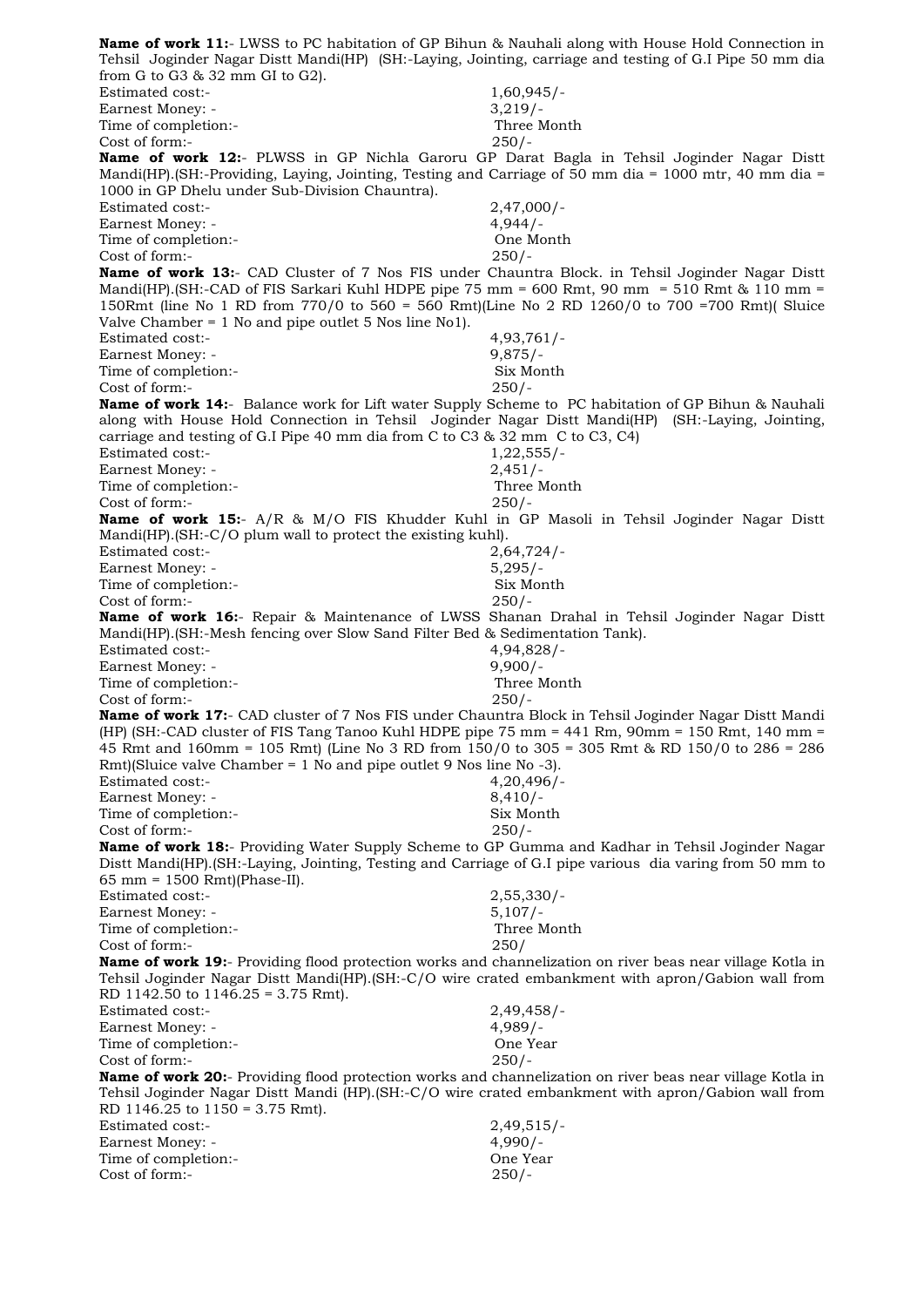**Name of work 11:**- LWSS to PC habitation of GP Bihun & Nauhali along with House Hold Connection in Tehsil Joginder Nagar Distt Mandi(HP) (SH:-Laying, Jointing, carriage and testing of G.I Pipe 50 mm dia from G to G3 & 32 mm GI to G2). Estimated cost:- 1,60,945/- Earnest Money: - 3,219/-Time of completion:- Three Month Cost of form:- 250/- **Name of work 12:**- PLWSS in GP Nichla Garoru GP Darat Bagla in Tehsil Joginder Nagar Distt Mandi(HP).(SH:-Providing, Laying, Jointing, Testing and Carriage of 50 mm dia = 1000 mtr, 40 mm dia = 1000 in GP Dhelu under Sub-Division Chauntra). Estimated cost:- 2,47,000/- Earnest Money: - 4,944/-Time of completion:- One Month Cost of form:- 250/- **Name of work 13:**- CAD Cluster of 7 Nos FIS under Chauntra Block. in Tehsil Joginder Nagar Distt Mandi(HP).(SH:-CAD of FIS Sarkari Kuhl HDPE pipe 75 mm = 600 Rmt, 90 mm = 510 Rmt & 110 mm = 150Rmt (line No 1 RD from 770/0 to 560 = 560 Rmt)(Line No 2 RD 1260/0 to 700 =700 Rmt)( Sluice Valve Chamber = 1 No and pipe outlet 5 Nos line No1). Estimated cost:- 4,93,761/- Earnest Money: - 9,875/-Time of completion:- Six Month Cost of form:- 250/- **Name of work 14:**- Balance work for Lift water Supply Scheme to PC habitation of GP Bihun & Nauhali along with House Hold Connection in Tehsil Joginder Nagar Distt Mandi(HP) (SH:-Laying, Jointing, carriage and testing of G.I Pipe 40 mm dia from C to C3 & 32 mm C to C3, C4) Estimated cost:- 1,22,555/-Earnest Money: - 2,451/-Time of completion:- Three Month Cost of form:- 250/- **Name of work 15:**- A/R & M/O FIS Khudder Kuhl in GP Masoli in Tehsil Joginder Nagar Distt Mandi(HP).(SH:-C/O plum wall to protect the existing kuhl). Estimated cost:- 2,64,724/- Earnest Money: - 5,295/-Time of completion:- Six Month Cost of form:- 250/- **Name of work 16:**- Repair & Maintenance of LWSS Shanan Drahal in Tehsil Joginder Nagar Distt Mandi(HP).(SH:-Mesh fencing over Slow Sand Filter Bed & Sedimentation Tank). Estimated cost:- 4,94,828/- Earnest Money: - 9,900/-Time of completion:- Three Month Cost of form:- 250/- **Name of work 17:**- CAD cluster of 7 Nos FIS under Chauntra Block in Tehsil Joginder Nagar Distt Mandi (HP) (SH:-CAD cluster of FIS Tang Tanoo Kuhl HDPE pipe 75 mm = 441 Rm, 90mm = 150 Rmt, 140 mm = 45 Rmt and 160mm = 105 Rmt) (Line No 3 RD from 150/0 to 305 = 305 Rmt & RD 150/0 to 286 = 286 Rmt)(Sluice valve Chamber = 1 No and pipe outlet 9 Nos line No -3). Estimated cost:- 4,20,496/- Earnest Money: - 8,410/-Time of completion:- Six Month Cost of form:- 250/- **Name of work 18:**- Providing Water Supply Scheme to GP Gumma and Kadhar in Tehsil Joginder Nagar Distt Mandi(HP).(SH:-Laying, Jointing, Testing and Carriage of G.I pipe various dia varing from 50 mm to 65 mm = 1500 Rmt)(Phase-II). Estimated cost:- 2,55,330/- Earnest Money: - 5,107/-<br>Time of completion:- Three Month Time of completion:-Cost of form:- 250/ **Name of work 19:**- Providing flood protection works and channelization on river beas near village Kotla in Tehsil Joginder Nagar Distt Mandi(HP).(SH:-C/O wire crated embankment with apron/Gabion wall from RD 1142.50 to 1146.25 = 3.75 Rmt). Estimated cost:- 2,49,458/- Earnest Money: - 4,989/-Time of completion:-<br>
Cost of form:-<br>
250/-Cost of form:-**Name of work 20:**- Providing flood protection works and channelization on river beas near village Kotla in Tehsil Joginder Nagar Distt Mandi (HP).(SH:-C/O wire crated embankment with apron/Gabion wall from RD 1146.25 to 1150 = 3.75 Rmt). Estimated cost:- 2,49,515/- Earnest Money: - 4,990/-Time of completion:- One Year Cost of form:- 250/-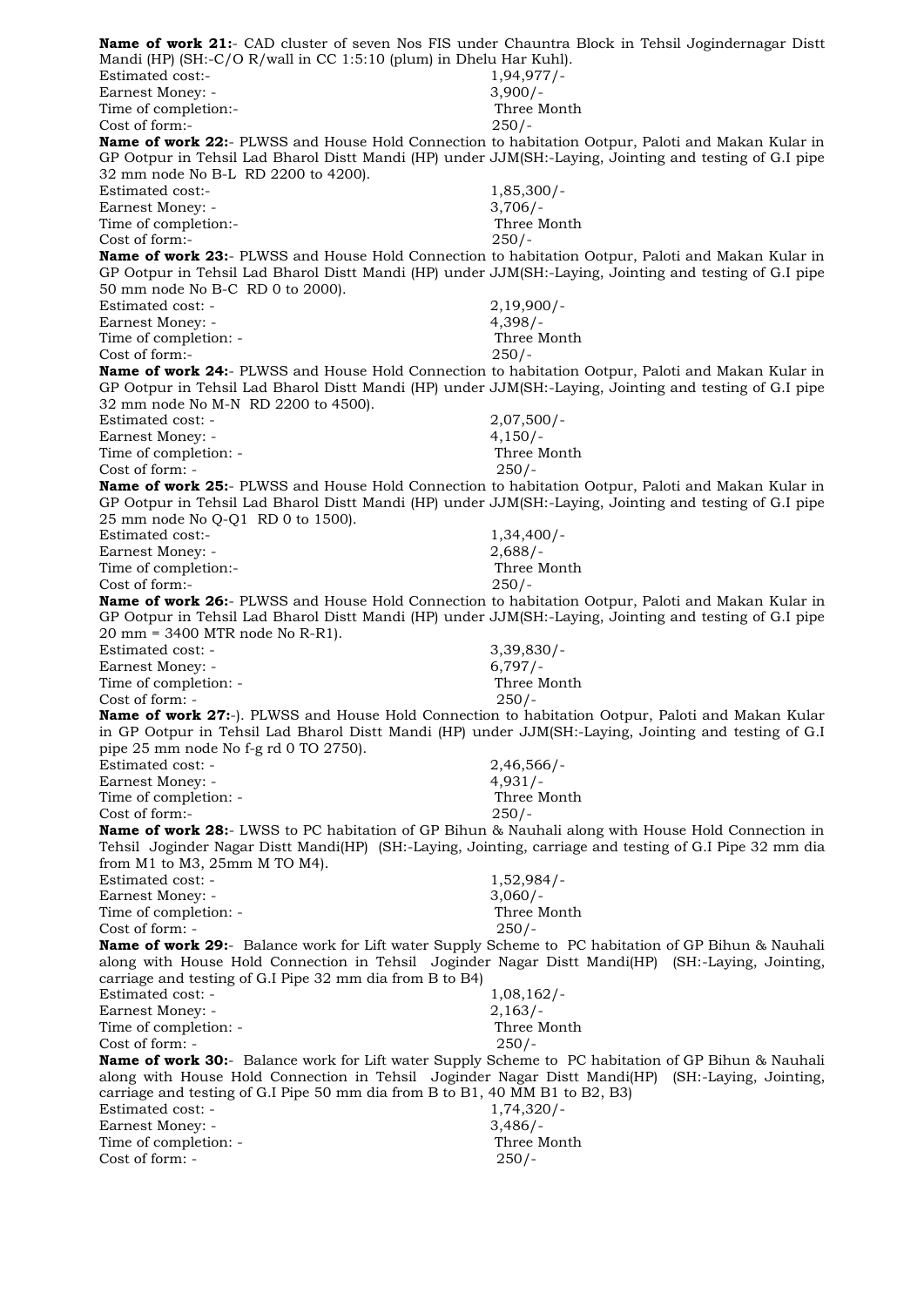**Name of work 21:**- CAD cluster of seven Nos FIS under Chauntra Block in Tehsil Jogindernagar Distt Mandi (HP) (SH:-C/O R/wall in CC 1:5:10 (plum) in Dhelu Har Kuhl). Estimated cost:- 1,94,977/-Earnest Money: - 3,900/-Time of completion:- Three Month Cost of form:- 250/- **Name of work 22:**- PLWSS and House Hold Connection to habitation Ootpur, Paloti and Makan Kular in GP Ootpur in Tehsil Lad Bharol Distt Mandi (HP) under JJM(SH:-Laying, Jointing and testing of G.I pipe 32 mm node No B-L RD 2200 to 4200). Estimated cost:- 1,85,300/-Earnest Money: - 3,706/-Time of completion:- Three Month Cost of form:- 250/- **Name of work 23:**- PLWSS and House Hold Connection to habitation Ootpur, Paloti and Makan Kular in GP Ootpur in Tehsil Lad Bharol Distt Mandi (HP) under JJM(SH:-Laying, Jointing and testing of G.I pipe 50 mm node No B-C RD 0 to 2000). Estimated cost: - 2,19,900/- Earnest Money: - 4,398/-Time of completion:  $\overline{\phantom{a}}$ Cost of form:- 250/- **Name of work 24:**- PLWSS and House Hold Connection to habitation Ootpur, Paloti and Makan Kular in GP Ootpur in Tehsil Lad Bharol Distt Mandi (HP) under JJM(SH:-Laying, Jointing and testing of G.I pipe 32 mm node No M-N RD 2200 to 4500). Estimated cost: - 2,07,500/- Earnest Money: - 4,150/-Time of completion: - Three Month Cost of form: - 250/- **Name of work 25:**- PLWSS and House Hold Connection to habitation Ootpur, Paloti and Makan Kular in GP Ootpur in Tehsil Lad Bharol Distt Mandi (HP) under JJM(SH:-Laying, Jointing and testing of G.I pipe 25 mm node No Q-Q1 RD 0 to 1500). Estimated cost:- 1,34,400/- Earnest Money: - 2,688/-Time of completion:- Three Month Cost of form:- 250/- **Name of work 26:**- PLWSS and House Hold Connection to habitation Ootpur, Paloti and Makan Kular in GP Ootpur in Tehsil Lad Bharol Distt Mandi (HP) under JJM(SH:-Laying, Jointing and testing of G.I pipe 20 mm = 3400 MTR node No R-R1). Estimated cost: - 3,39,830/-Earnest Money: - 6,797/-Time of completion: - Three Month Cost of form: - 250/- **Name of work 27:**-). PLWSS and House Hold Connection to habitation Ootpur, Paloti and Makan Kular in GP Ootpur in Tehsil Lad Bharol Distt Mandi (HP) under JJM(SH:-Laying, Jointing and testing of G.I pipe 25 mm node No f-g rd 0 TO 2750). Estimated cost: - 2,46,566/- Earnest Money: - 4.931/-Time of completion: - Three Month Cost of form:- 250/- **Name of work 28:**- LWSS to PC habitation of GP Bihun & Nauhali along with House Hold Connection in Tehsil Joginder Nagar Distt Mandi(HP) (SH:-Laying, Jointing, carriage and testing of G.I Pipe 32 mm dia from M1 to M3, 25mm M TO M4). Estimated cost: - 1,52,984/-Earnest Money: - 3,060/-Time of completion: - Three Month  $Cost of form: -250/$ **Name of work 29:**- Balance work for Lift water Supply Scheme to PC habitation of GP Bihun & Nauhali along with House Hold Connection in Tehsil Joginder Nagar Distt Mandi(HP) (SH:-Laying, Jointing, carriage and testing of G.I Pipe 32 mm dia from B to B4) Estimated cost: - 1,08,162/-<br>Earnest Money: - 2,163/-Earnest Money: -Time of completion: - Three Month Cost of form: - 250/- **Name of work 30:**- Balance work for Lift water Supply Scheme to PC habitation of GP Bihun & Nauhali along with House Hold Connection in Tehsil Joginder Nagar Distt Mandi(HP) (SH:-Laying, Jointing, carriage and testing of G.I Pipe 50 mm dia from B to B1, 40 MM B1 to B2, B3) Estimated cost: - 1,74,320/-Earnest Money: - 3,486/-Time of completion: - Three Month Cost of form: - 250/-